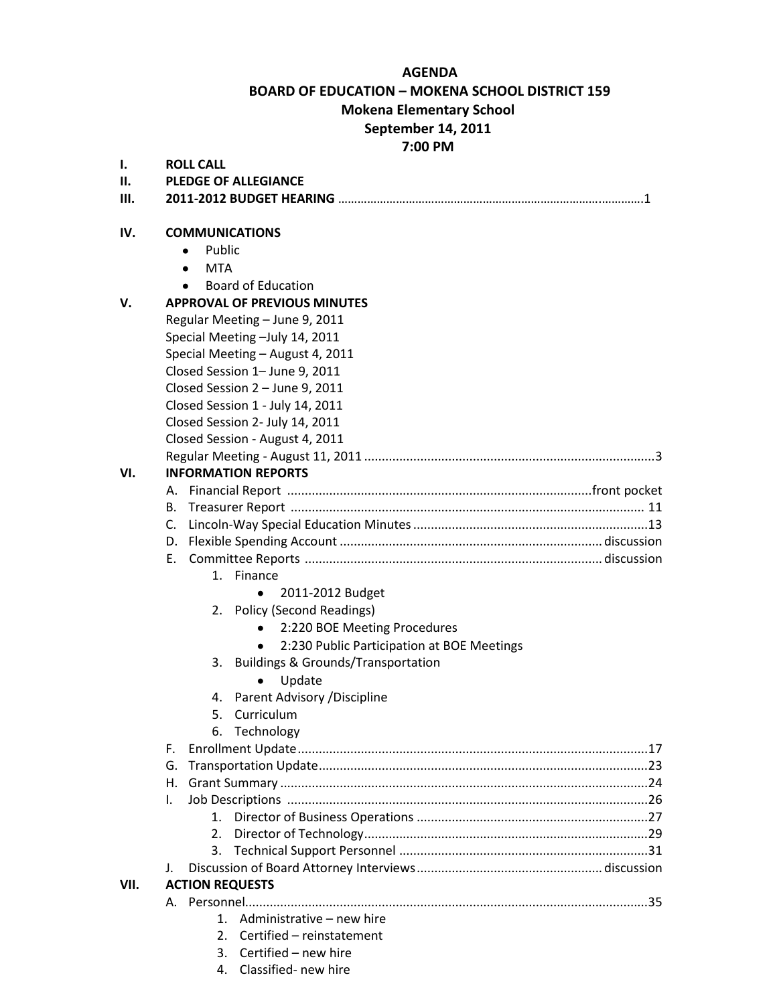#### **AGENDA**

**BOARD OF EDUCATION – MOKENA SCHOOL DISTRICT 159**

### **Mokena Elementary School**

### **September 14, 2011**

# **7:00 PM**

| ı.   | <b>ROLL CALL</b>                                             |
|------|--------------------------------------------------------------|
| П.   | <b>PLEDGE OF ALLEGIANCE</b>                                  |
| Ш.   | 2011-2012 BUDGET HEARING …………………………………………………………………………………………1 |
|      |                                                              |
| IV.  | <b>COMMUNICATIONS</b>                                        |
|      | Public<br>$\bullet$                                          |
|      | <b>MTA</b><br>٠                                              |
|      | <b>Board of Education</b><br>$\bullet$                       |
| V.   | <b>APPROVAL OF PREVIOUS MINUTES</b>                          |
|      | Regular Meeting - June 9, 2011                               |
|      | Special Meeting - July 14, 2011                              |
|      | Special Meeting - August 4, 2011                             |
|      | Closed Session 1- June 9, 2011                               |
|      | Closed Session 2 - June 9, 2011                              |
|      | Closed Session 1 - July 14, 2011                             |
|      | Closed Session 2- July 14, 2011                              |
|      | Closed Session - August 4, 2011                              |
|      |                                                              |
| VI.  | <b>INFORMATION REPORTS</b>                                   |
|      |                                                              |
|      |                                                              |
|      | C.                                                           |
|      |                                                              |
|      | E.                                                           |
|      | 1. Finance                                                   |
|      | 2011-2012 Budget<br>٠                                        |
|      | 2. Policy (Second Readings)                                  |
|      | 2:220 BOE Meeting Procedures<br>$\bullet$                    |
|      | 2:230 Public Participation at BOE Meetings                   |
|      | 3. Buildings & Grounds/Transportation                        |
|      | Update<br>٠                                                  |
|      | 4. Parent Advisory / Discipline                              |
|      | 5. Curriculum                                                |
|      | 6. Technology                                                |
|      | F.                                                           |
|      | G.                                                           |
|      | Η.                                                           |
|      | I.                                                           |
|      | 1.                                                           |
|      | 2.                                                           |
|      | 3.                                                           |
|      | J.                                                           |
| VII. | <b>ACTION REQUESTS</b>                                       |
|      |                                                              |
|      | Administrative – new hire<br>$1_{-}$                         |
|      | Certified - reinstatement<br>2.                              |
|      | Certified - new hire<br>3.                                   |
|      |                                                              |

4. Classified- new hire